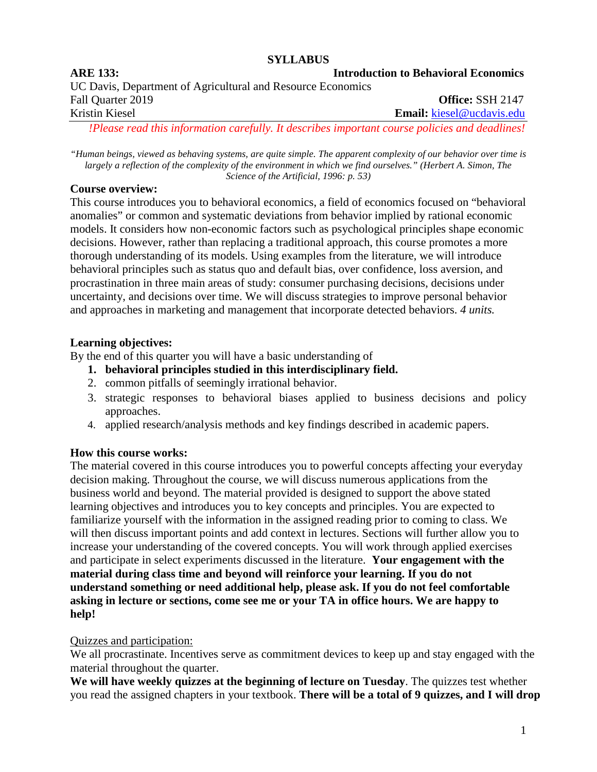#### **SYLLABUS**

# **ARE 133: Introduction to Behavioral Economics** UC Davis, Department of Agricultural and Resource Economics Fall Quarter 2019 **Office:** SSH 2147 Kristin Kiesel **Email:** [kiesel@ucdavis.edu](mailto:kiesel@ucdavis.edu) *!Please read this information carefully. It describes important course policies and deadlines!*

*"Human beings, viewed as behaving systems, are quite simple. The apparent complexity of our behavior over time is largely a reflection of the complexity of the environment in which we find ourselves." (Herbert A. Simon, The Science of the Artificial, 1996: p. 53)*

### **Course overview:**

This course introduces you to behavioral economics, a field of economics focused on "behavioral anomalies" or common and systematic deviations from behavior implied by rational economic models. It considers how non-economic factors such as psychological principles shape economic decisions. However, rather than replacing a traditional approach, this course promotes a more thorough understanding of its models. Using examples from the literature, we will introduce behavioral principles such as status quo and default bias, over confidence, loss aversion, and procrastination in three main areas of study: consumer purchasing decisions, decisions under uncertainty, and decisions over time. We will discuss strategies to improve personal behavior and approaches in marketing and management that incorporate detected behaviors. *4 units.*

## **Learning objectives:**

By the end of this quarter you will have a basic understanding of

- **1. behavioral principles studied in this interdisciplinary field.**
- 2. common pitfalls of seemingly irrational behavior.
- 3. strategic responses to behavioral biases applied to business decisions and policy approaches.
- 4. applied research/analysis methods and key findings described in academic papers.

## **How this course works:**

The material covered in this course introduces you to powerful concepts affecting your everyday decision making. Throughout the course, we will discuss numerous applications from the business world and beyond. The material provided is designed to support the above stated learning objectives and introduces you to key concepts and principles. You are expected to familiarize yourself with the information in the assigned reading prior to coming to class. We will then discuss important points and add context in lectures. Sections will further allow you to increase your understanding of the covered concepts. You will work through applied exercises and participate in select experiments discussed in the literature. **Your engagement with the material during class time and beyond will reinforce your learning. If you do not understand something or need additional help, please ask. If you do not feel comfortable asking in lecture or sections, come see me or your TA in office hours. We are happy to help!**

## Quizzes and participation:

We all procrastinate. Incentives serve as commitment devices to keep up and stay engaged with the material throughout the quarter.

**We will have weekly quizzes at the beginning of lecture on Tuesday**. The quizzes test whether you read the assigned chapters in your textbook. **There will be a total of 9 quizzes, and I will drop**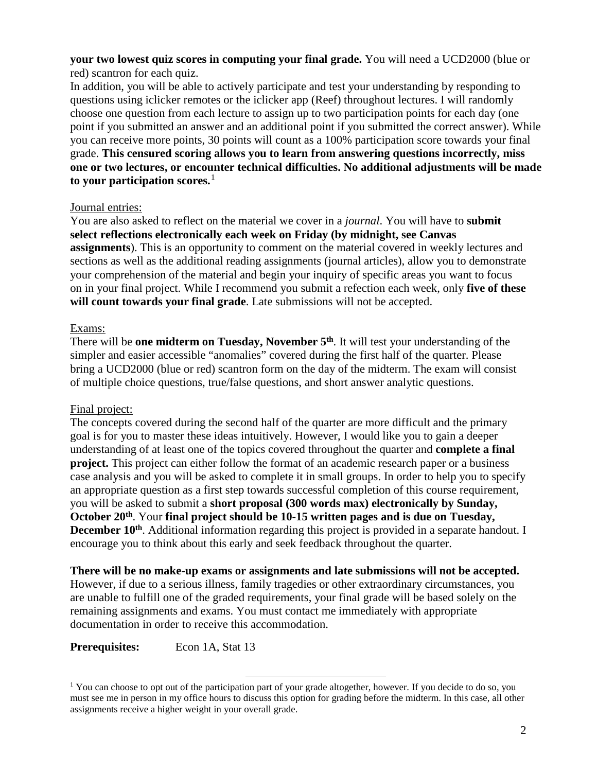#### **your two lowest quiz scores in computing your final grade.** You will need a UCD2000 (blue or red) scantron for each quiz.

In addition, you will be able to actively participate and test your understanding by responding to questions using iclicker remotes or the iclicker app (Reef) throughout lectures. I will randomly choose one question from each lecture to assign up to two participation points for each day (one point if you submitted an answer and an additional point if you submitted the correct answer). While you can receive more points, 30 points will count as a 100% participation score towards your final grade. **This censured scoring allows you to learn from answering questions incorrectly, miss one or two lectures, or encounter technical difficulties. No additional adjustments will be made to your participation scores.** [1](#page-1-0)

## Journal entries:

You are also asked to reflect on the material we cover in a *journal*. You will have to **submit select reflections electronically each week on Friday (by midnight, see Canvas assignments**). This is an opportunity to comment on the material covered in weekly lectures and sections as well as the additional reading assignments (journal articles), allow you to demonstrate your comprehension of the material and begin your inquiry of specific areas you want to focus on in your final project. While I recommend you submit a refection each week, only **five of these will count towards your final grade**. Late submissions will not be accepted.

### Exams:

There will be **one midterm on Tuesday, November 5<sup>th</sup>**. It will test your understanding of the simpler and easier accessible "anomalies" covered during the first half of the quarter. Please bring a UCD2000 (blue or red) scantron form on the day of the midterm. The exam will consist of multiple choice questions, true/false questions, and short answer analytic questions.

## Final project:

The concepts covered during the second half of the quarter are more difficult and the primary goal is for you to master these ideas intuitively. However, I would like you to gain a deeper understanding of at least one of the topics covered throughout the quarter and **complete a final project.** This project can either follow the format of an academic research paper or a business case analysis and you will be asked to complete it in small groups. In order to help you to specify an appropriate question as a first step towards successful completion of this course requirement, you will be asked to submit a **short proposal (300 words max) electronically by Sunday, October 20th**. Your **final project should be 10-15 written pages and is due on Tuesday, December 10<sup>th</sup>**. Additional information regarding this project is provided in a separate handout. I encourage you to think about this early and seek feedback throughout the quarter.

**There will be no make-up exams or assignments and late submissions will not be accepted.**

However, if due to a serious illness, family tragedies or other extraordinary circumstances, you are unable to fulfill one of the graded requirements, your final grade will be based solely on the remaining assignments and exams. You must contact me immediately with appropriate documentation in order to receive this accommodation.

**Prerequisites:** Econ 1A, Stat 13

<span id="page-1-0"></span><sup>&</sup>lt;sup>1</sup> You can choose to opt out of the participation part of your grade altogether, however. If you decide to do so, you must see me in person in my office hours to discuss this option for grading before the midterm. In this case, all other assignments receive a higher weight in your overall grade.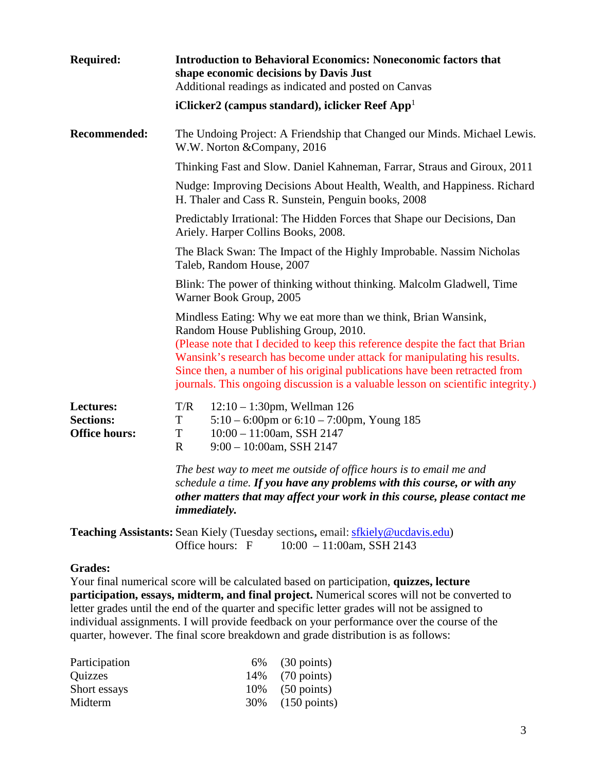| <b>Required:</b>                                      | <b>Introduction to Behavioral Economics: Noneconomic factors that</b><br>shape economic decisions by Davis Just<br>Additional readings as indicated and posted on Canvas                                                                                                                                                                                                                                                               |  |  |
|-------------------------------------------------------|----------------------------------------------------------------------------------------------------------------------------------------------------------------------------------------------------------------------------------------------------------------------------------------------------------------------------------------------------------------------------------------------------------------------------------------|--|--|
|                                                       | iClicker2 (campus standard), iclicker Reef App <sup>1</sup>                                                                                                                                                                                                                                                                                                                                                                            |  |  |
| <b>Recommended:</b>                                   | The Undoing Project: A Friendship that Changed our Minds. Michael Lewis.<br>W.W. Norton & Company, 2016                                                                                                                                                                                                                                                                                                                                |  |  |
|                                                       | Thinking Fast and Slow. Daniel Kahneman, Farrar, Straus and Giroux, 2011                                                                                                                                                                                                                                                                                                                                                               |  |  |
|                                                       | Nudge: Improving Decisions About Health, Wealth, and Happiness. Richard<br>H. Thaler and Cass R. Sunstein, Penguin books, 2008                                                                                                                                                                                                                                                                                                         |  |  |
|                                                       | Predictably Irrational: The Hidden Forces that Shape our Decisions, Dan<br>Ariely. Harper Collins Books, 2008.                                                                                                                                                                                                                                                                                                                         |  |  |
|                                                       | The Black Swan: The Impact of the Highly Improbable. Nassim Nicholas<br>Taleb, Random House, 2007                                                                                                                                                                                                                                                                                                                                      |  |  |
|                                                       | Blink: The power of thinking without thinking. Malcolm Gladwell, Time<br>Warner Book Group, 2005                                                                                                                                                                                                                                                                                                                                       |  |  |
|                                                       | Mindless Eating: Why we eat more than we think, Brian Wansink,<br>Random House Publishing Group, 2010.<br>(Please note that I decided to keep this reference despite the fact that Brian<br>Wansink's research has become under attack for manipulating his results.<br>Since then, a number of his original publications have been retracted from<br>journals. This ongoing discussion is a valuable lesson on scientific integrity.) |  |  |
| Lectures:<br><b>Sections:</b><br><b>Office hours:</b> | T/R<br>$12:10 - 1:30$ pm, Wellman 126<br>$\mathbf T$<br>$5:10 - 6:00$ pm or $6:10 - 7:00$ pm, Young 185<br>T<br>$10:00 - 11:00$ am, SSH 2147<br>$\mathbf{R}$<br>$9:00 - 10:00$ am, SSH 2147                                                                                                                                                                                                                                            |  |  |
|                                                       | The best way to meet me outside of office hours is to email me and<br>schedule a time. If you have any problems with this course, or with any<br>other matters that may affect your work in this course, please contact me<br><i>immediately.</i>                                                                                                                                                                                      |  |  |
|                                                       | <b>Teaching Assistants:</b> Sean Kiely (Tuesday sections, email: sfkiely@ucdavis.edu)<br>Office hours: F<br>$10:00 - 11:00$ am, SSH 2143                                                                                                                                                                                                                                                                                               |  |  |

#### **Grades:**

Your final numerical score will be calculated based on participation, **quizzes, lecture participation, essays, midterm, and final project.** Numerical scores will not be converted to letter grades until the end of the quarter and specific letter grades will not be assigned to individual assignments. I will provide feedback on your performance over the course of the quarter, however. The final score breakdown and grade distribution is as follows:

| Participation | $6\%$ (30 points)  |
|---------------|--------------------|
| Quizzes       | 14\% (70 points)   |
| Short essays  | $10\%$ (50 points) |
| Midterm       | 30% (150 points)   |
|               |                    |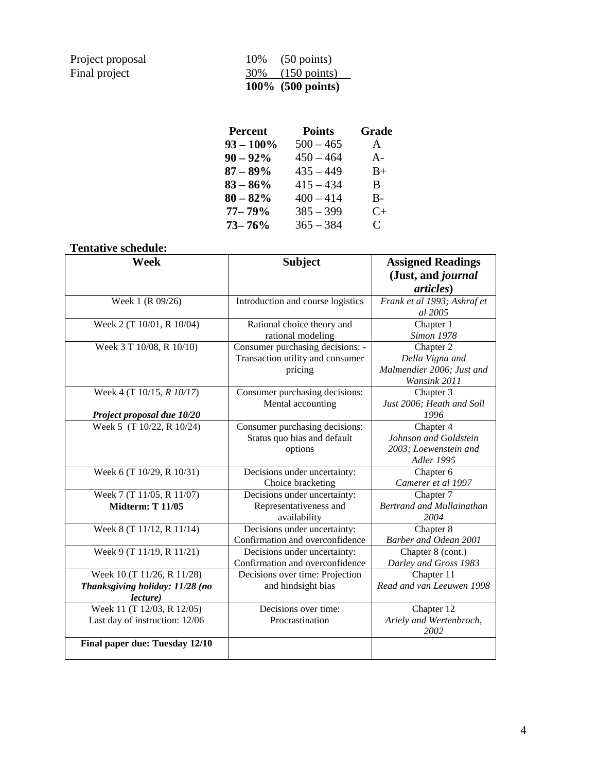| Project proposal |
|------------------|
| Final project    |

|                  | 100\% $(500 \text{ points})$ |
|------------------|------------------------------|
| Final project    | 30\% (150 points)            |
| Project proposal | 10\% $(50 \text{ points})$   |

| <b>Percent</b> | <b>Points</b> | Grade                       |
|----------------|---------------|-----------------------------|
| $93 - 100\%$   | $500 - 465$   | A                           |
| $90 - 92\%$    | $450 - 464$   | $A -$                       |
| $87 - 89\%$    | $435 - 449$   | $B+$                        |
| $83 - 86\%$    | $415 - 434$   | B.                          |
| $80 - 82%$     | $400 - 414$   | $B -$                       |
| $77 - 79\%$    | $385 - 399$   | $C+$                        |
| $73 - 76%$     | $365 - 384$   | $\mathcal{C}_{\mathcal{C}}$ |

# **Tentative schedule:**

| Week                            | <b>Subject</b>                    | <b>Assigned Readings</b>    |
|---------------------------------|-----------------------------------|-----------------------------|
|                                 |                                   | (Just, and journal          |
|                                 |                                   | <i>articles</i> )           |
| Week 1 (R 09/26)                | Introduction and course logistics | Frank et al 1993; Ashraf et |
|                                 |                                   | al 2005                     |
| Week 2 (T 10/01, R 10/04)       | Rational choice theory and        | Chapter 1                   |
|                                 | rational modeling                 | <b>Simon 1978</b>           |
| Week 3 T 10/08, R 10/10)        | Consumer purchasing decisions: -  | Chapter 2                   |
|                                 | Transaction utility and consumer  | Della Vigna and             |
|                                 | pricing                           | Malmendier 2006; Just and   |
|                                 |                                   | Wansink 2011                |
| Week 4 (T 10/15, R 10/17)       | Consumer purchasing decisions:    | Chapter 3                   |
|                                 | Mental accounting                 | Just 2006; Heath and Soll   |
| Project proposal due 10/20      |                                   | 1996                        |
| Week 5 (T 10/22, R 10/24)       | Consumer purchasing decisions:    | Chapter 4                   |
|                                 | Status quo bias and default       | Johnson and Goldstein       |
|                                 | options                           | 2003; Loewenstein and       |
|                                 |                                   | <b>Adler 1995</b>           |
| Week 6 (T 10/29, R 10/31)       | Decisions under uncertainty:      | Chapter 6                   |
|                                 | Choice bracketing                 | Camerer et al 1997          |
| Week 7 (T 11/05, R 11/07)       | Decisions under uncertainty:      | Chapter 7                   |
| <b>Midterm: T 11/05</b>         | Representativeness and            | Bertrand and Mullainathan   |
|                                 | availability                      | 2004                        |
| Week 8 (T 11/12, R 11/14)       | Decisions under uncertainty:      | Chapter 8                   |
|                                 | Confirmation and overconfidence   | Barber and Odean 2001       |
| Week 9 (T 11/19, R 11/21)       | Decisions under uncertainty:      | Chapter 8 (cont.)           |
|                                 | Confirmation and overconfidence   | Darley and Gross 1983       |
| Week 10 (T 11/26, R 11/28)      | Decisions over time: Projection   | Chapter 11                  |
| Thanksgiving holiday: 11/28 (no | and hindsight bias                | Read and van Leeuwen 1998   |
| <i>lecture</i> )                |                                   |                             |
| Week 11 (T 12/03, R 12/05)      | Decisions over time:              | Chapter 12                  |
| Last day of instruction: 12/06  | Procrastination                   | Ariely and Wertenbroch,     |
|                                 |                                   | 2002                        |
| Final paper due: Tuesday 12/10  |                                   |                             |
|                                 |                                   |                             |